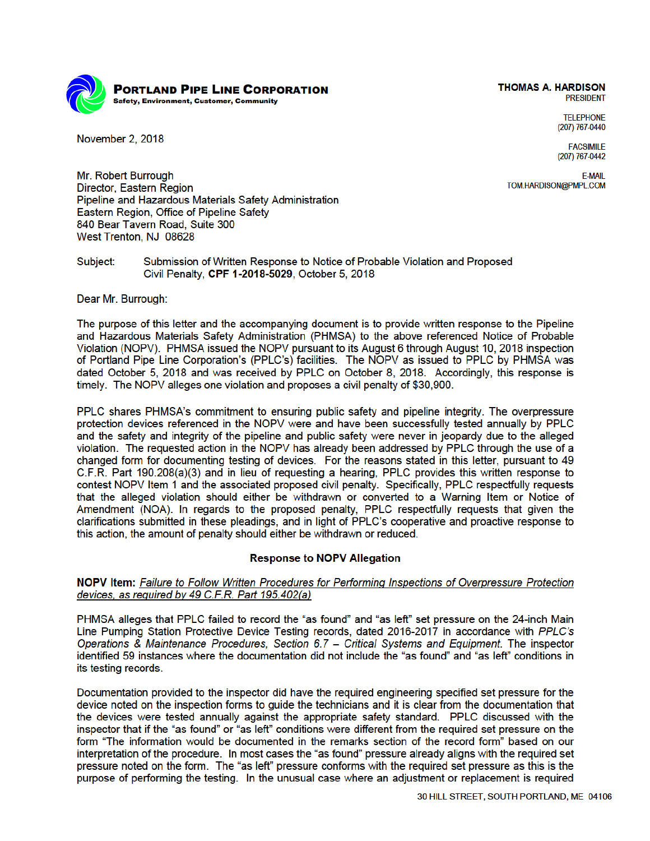

November 2, 2018

**THOMAS A. HARDISON PRESIDENT** 

**TELEPHONE** (207) 767-0440

**FACSIMILE** (207) 767-0442

**F-MAIL** TOM.HARDISON@PMPL.COM

Mr. Robert Burrough Director, Eastern Region Pipeline and Hazardous Materials Safety Administration Eastern Region, Office of Pipeline Safety 840 Bear Tavern Road, Suite 300 West Trenton, NJ 08628

Subject: Submission of Written Response to Notice of Probable Violation and Proposed Civil Penalty, CPF 1-2018-5029, October 5, 2018

Dear Mr. Burrough:

The purpose of this letter and the accompanying document is to provide written response to the Pipeline and Hazardous Materials Safety Administration (PHMSA) to the above referenced Notice of Probable Violation (NOPV). PHMSA issued the NOPV pursuant to its August 6 through August 10, 2018 inspection of Portland Pipe Line Corporation's (PPLC's) facilities. The NOPV as issued to PPLC by PHMSA was dated October 5, 2018 and was received by PPLC on October 8, 2018. Accordingly, this response is timely. The NOPV alleges one violation and proposes a civil penalty of \$30,900.

PPLC shares PHMSA's commitment to ensuring public safety and pipeline integrity. The overpressure protection devices referenced in the NOPV were and have been successfully tested annually by PPLC and the safety and integrity of the pipeline and public safety were never in jeopardy due to the alleged violation. The requested action in the NOPV has already been addressed by PPLC through the use of a changed form for documenting testing of devices. For the reasons stated in this letter, pursuant to 49 C.F.R. Part 190.208(a)(3) and in lieu of requesting a hearing, PPLC provides this written response to contest NOPV Item 1 and the associated proposed civil penalty. Specifically, PPLC respectfully requests that the alleged violation should either be withdrawn or converted to a Warning Item or Notice of Amendment (NOA). In regards to the proposed penalty, PPLC respectfully requests that given the clarifications submitted in these pleadings, and in light of PPLC's cooperative and proactive response to this action, the amount of penalty should either be withdrawn or reduced.

## **Response to NOPV Allegation**

# NOPV Item: Failure to Follow Written Procedures for Performing Inspections of Overpressure Protection devices, as required by 49 C.F.R. Part 195.402(a)

PHMSA alleges that PPLC failed to record the "as found" and "as left" set pressure on the 24-inch Main Line Pumping Station Protective Device Testing records, dated 2016-2017 in accordance with PPLC's Operations & Maintenance Procedures, Section 6.7 - Critical Systems and Equipment. The inspector identified 59 instances where the documentation did not include the "as found" and "as left" conditions in its testing records.

Documentation provided to the inspector did have the required engineering specified set pressure for the device noted on the inspection forms to quide the technicians and it is clear from the documentation that the devices were tested annually against the appropriate safety standard. PPLC discussed with the inspector that if the "as found" or "as left" conditions were different from the required set pressure on the form "The information would be documented in the remarks section of the record form" based on our interpretation of the procedure. In most cases the "as found" pressure already aligns with the required set pressure noted on the form. The "as left" pressure conforms with the required set pressure as this is the purpose of performing the testing. In the unusual case where an adjustment or replacement is required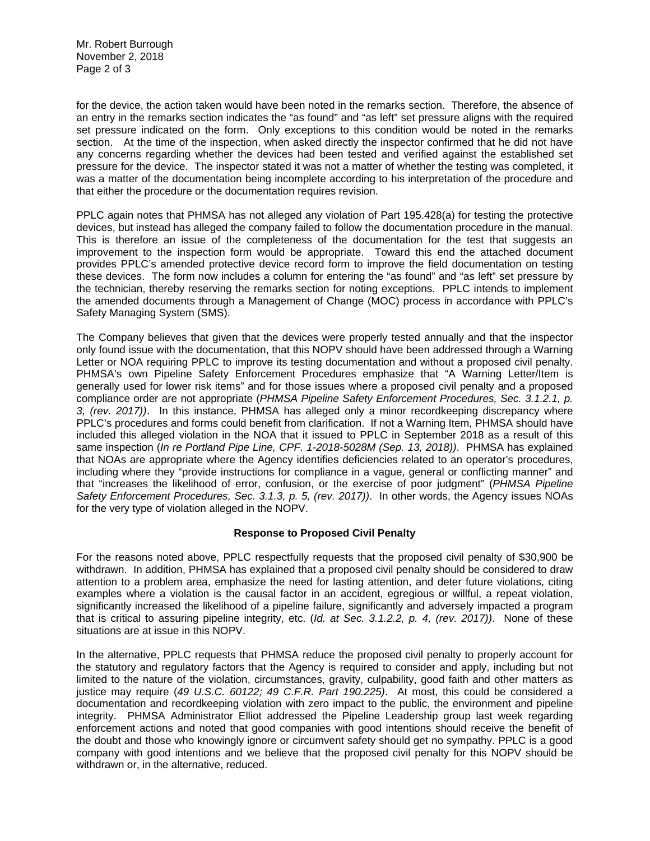Mr. Robert Burrough November 2, 2018 Page 2 of 3

for the device, the action taken would have been noted in the remarks section. Therefore, the absence of an entry in the remarks section indicates the "as found" and "as left" set pressure aligns with the required set pressure indicated on the form. Only exceptions to this condition would be noted in the remarks section. At the time of the inspection, when asked directly the inspector confirmed that he did not have any concerns regarding whether the devices had been tested and verified against the established set pressure for the device. The inspector stated it was not a matter of whether the testing was completed, it was a matter of the documentation being incomplete according to his interpretation of the procedure and that either the procedure or the documentation requires revision.

devices, but instead has alleged the company failed to follow the documentation procedure in the manual. PPLC again notes that PHMSA has not alleged any violation of Part 195.428(a) for testing the protective This is therefore an issue of the completeness of the documentation for the test that suggests an improvement to the inspection form would be appropriate. Toward this end the attached document provides PPLC's amended protective device record form to improve the field documentation on testing these devices. The form now includes a column for entering the "as found" and "as left" set pressure by the technician, thereby reserving the remarks section for noting exceptions. PPLC intends to implement the amended documents through a Management of Change (MOC) process in accordance with PPLC's Safety Managing System (SMS).

 *Safety Enforcement Procedures, Sec. 3.1.3, p. 5, (rev. 2017))*. In other words, the Agency issues NOAs The Company believes that given that the devices were properly tested annually and that the inspector only found issue with the documentation, that this NOPV should have been addressed through a Warning Letter or NOA requiring PPLC to improve its testing documentation and without a proposed civil penalty. PHMSA's own Pipeline Safety Enforcement Procedures emphasize that "A Warning Letter/Item is generally used for lower risk items" and for those issues where a proposed civil penalty and a proposed compliance order are not appropriate (*PHMSA Pipeline Safety Enforcement Procedures, Sec. 3.1.2.1, p. 3, (rev. 2017))*. In this instance, PHMSA has alleged only a minor recordkeeping discrepancy where PPLC's procedures and forms could benefit from clarification. If not a Warning Item, PHMSA should have included this alleged violation in the NOA that it issued to PPLC in September 2018 as a result of this same inspection (*In re Portland Pipe Line, CPF. 1-2018-5028M (Sep. 13, 2018))*. PHMSA has explained that NOAs are appropriate where the Agency identifies deficiencies related to an operator's procedures, including where they "provide instructions for compliance in a vague, general or conflicting manner" and that "increases the likelihood of error, confusion, or the exercise of poor judgment" (*PHMSA Pipeline*  for the very type of violation alleged in the NOPV.

## **Response to Proposed Civil Penalty**

For the reasons noted above, PPLC respectfully requests that the proposed civil penalty of \$30,900 be withdrawn. In addition, PHMSA has explained that a proposed civil penalty should be considered to draw attention to a problem area, emphasize the need for lasting attention, and deter future violations, citing examples where a violation is the causal factor in an accident, egregious or willful, a repeat violation, significantly increased the likelihood of a pipeline failure, significantly and adversely impacted a program that is critical to assuring pipeline integrity, etc. (*Id. at Sec. 3.1.2.2, p. 4, (rev. 2017))*. None of these situations are at issue in this NOPV.

In the alternative, PPLC requests that PHMSA reduce the proposed civil penalty to properly account for the statutory and regulatory factors that the Agency is required to consider and apply, including but not limited to the nature of the violation, circumstances, gravity, culpability, good faith and other matters as justice may require (*49 U.S.C. 60122; 49 C.F.R. Part 190.225)*. At most, this could be considered a documentation and recordkeeping violation with zero impact to the public, the environment and pipeline integrity. PHMSA Administrator Elliot addressed the Pipeline Leadership group last week regarding enforcement actions and noted that good companies with good intentions should receive the benefit of the doubt and those who knowingly ignore or circumvent safety should get no sympathy. PPLC is a good company with good intentions and we believe that the proposed civil penalty for this NOPV should be withdrawn or, in the alternative, reduced.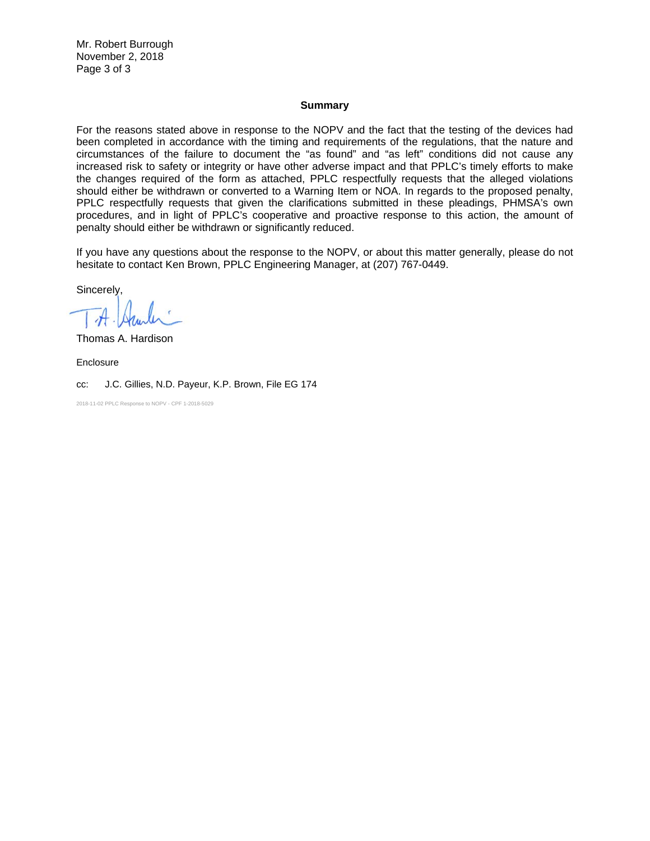Mr. Robert Burrough November 2, 2018 Page 3 of 3

### **Summary**

For the reasons stated above in response to the NOPV and the fact that the testing of the devices had been completed in accordance with the timing and requirements of the regulations, that the nature and circumstances of the failure to document the "as found" and "as left" conditions did not cause any increased risk to safety or integrity or have other adverse impact and that PPLC's timely efforts to make the changes required of the form as attached, PPLC respectfully requests that the alleged violations should either be withdrawn or converted to a Warning Item or NOA. In regards to the proposed penalty, PPLC respectfully requests that given the clarifications submitted in these pleadings, PHMSA's own procedures, and in light of PPLC's cooperative and proactive response to this action, the amount of penalty should either be withdrawn or significantly reduced.

If you have any questions about the response to the NOPV, or about this matter generally, please do not hesitate to contact Ken Brown, PPLC Engineering Manager, at (207) 767-0449.

Sincerely,

Thomas A. Hardison

Enclosure

cc: J.C. Gillies, N.D. Payeur, K.P. Brown, File EG 174

2018-11-02 PPLC Response to NOPV - CPF 1-2018-5029